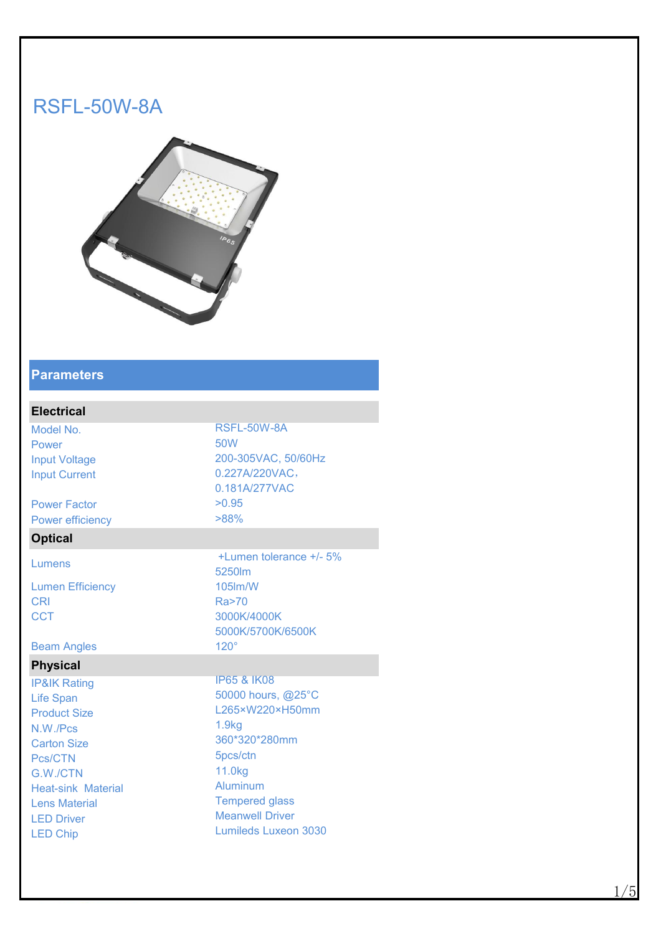# RSFL-50W-8A



#### **Parameters**

| <b>Electrical</b>       |                         |
|-------------------------|-------------------------|
| Model No.               | RSFL-50W-8A             |
| Power                   | 50W                     |
| <b>Input Voltage</b>    | 200-305VAC, 50/60Hz     |
| <b>Input Current</b>    | 0.227A/220VAC,          |
|                         | 0.181A/277VAC           |
| <b>Power Factor</b>     | >0.95                   |
| <b>Power efficiency</b> | $>88\%$                 |
| <b>Optical</b>          |                         |
| Lumens                  | +Lumen tolerance +/- 5% |
|                         | 5250m                   |
| <b>Lumen Efficiency</b> | 105lm/W                 |
| <b>CRI</b>              | Ra>70                   |
| <b>CCT</b>              | 3000K/4000K             |
|                         | 5000K/5700K/6500K       |
| <b>Beam Angles</b>      | $120^\circ$             |
| <b>Physical</b>         |                         |
| $IDQIX$ Doting          | <b>P65 &amp; IK08</b>   |

IP&IK Rating Life Span Product Size N.W./Pcs Carton Size Pcs/CTN G.W./CTN Heat-sink Material Lens Material LED Driver LED Chip

3000K/4000K 5000K/5700K/6500K IP65 & IK08 50000 hours, @25°C L265×W220×H50mm 1.9kg 360\*320\*280mm 5pcs/ctn 11.0kg Aluminum Tempered glass Meanwell Driver Lumileds Luxeon 3030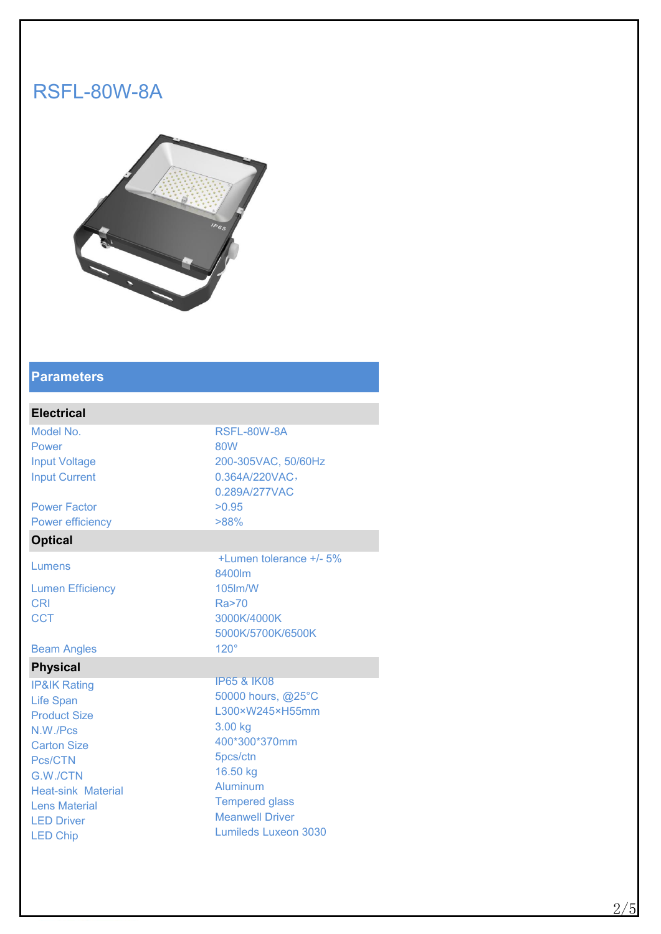# RSFL-80W-8A



### **Parameters**

### **Electrical**

Model No. 2008 2012 12:30 RSFL-80W-8A Power 80W 80W Input Voltage 200-305VAC, 50/60Hz Input Current 0.364A/220VAC,

Power Factor  $>0.95$ Power efficiency  $>88\%$ 

### **Optical**

Lumen Efficiency 105lm/W

Beam Angles 120°

#### **Physical**

IP&IK Rating Life Span Product Size N.W./Pcs Carton Size Pcs/CTN G.W./CTN Heat-sink Material Lens Material LED Driver LED Chip

Lumens  $+$ Lumen tolerance  $+$ /- 5% 8400lm CRI Ra>70 CCT 3000K/4000K 5000K/5700K/6500K IP65 & IK08

0.289A/277VAC

50000 hours, @25°C L300×W245×H55mm 3.00 kg 400\*300\*370mm 5pcs/ctn 16.50 kg Aluminum Tempered glass Meanwell Driver Lumileds Luxeon 3030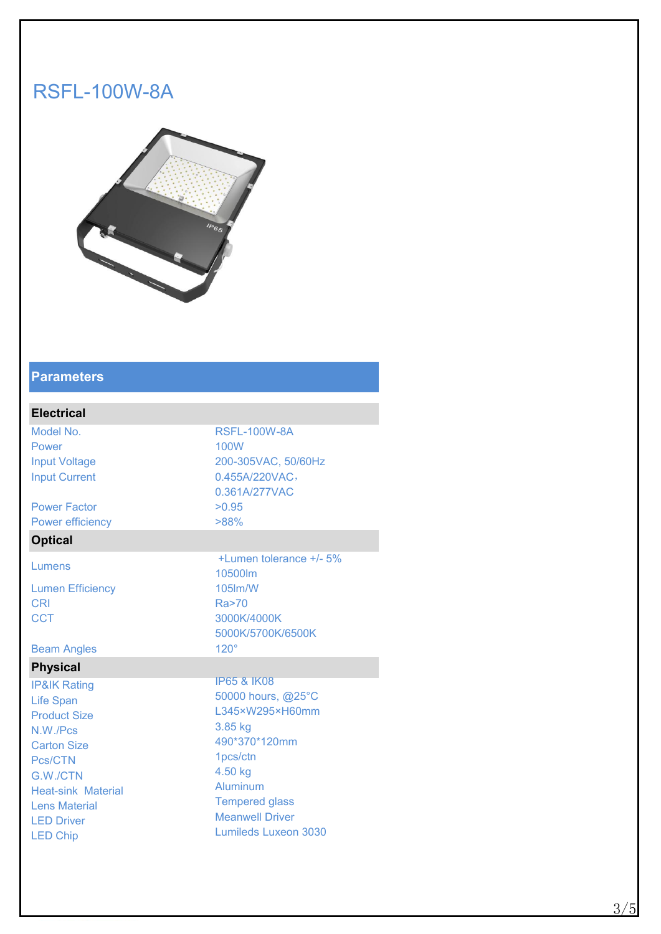# RSFL-100W-8A



### **Parameters**

### **Electrical**

Model No. 2008 2012 12:00:00 RSFL-100W-8A Power and the contract of the 100W and the contract of the contract of the contract of the contract of the contract of the contract of the contract of the contract of the contract of the contract of the contract of the con Input Voltage 200-305VAC, 50/60Hz Input Current 0.455A/220VAC,

Power Factor  $>0.95$ Power efficiency  $>88\%$ 

### **Optical**

Lumen Efficiency 105lm/W

Beam Angles 120°

### **Physical**

IP&IK Rating Life Span Product Size N.W./Pcs Carton Size Pcs/CTN G.W./CTN Heat-sink Material Lens Material LED Driver LED Chip

Lumens  $+$ Lumen tolerance  $+$ /- 5% 10500lm CRI Ra>70 CCT 3000K/4000K 5000K/5700K/6500K IP65 & IK08

0.361A/277VAC

50000 hours, @25°C L345×W295×H60mm 3.85 kg 490\*370\*120mm 1pcs/ctn 4.50 kg Aluminum Tempered glass Meanwell Driver Lumileds Luxeon 3030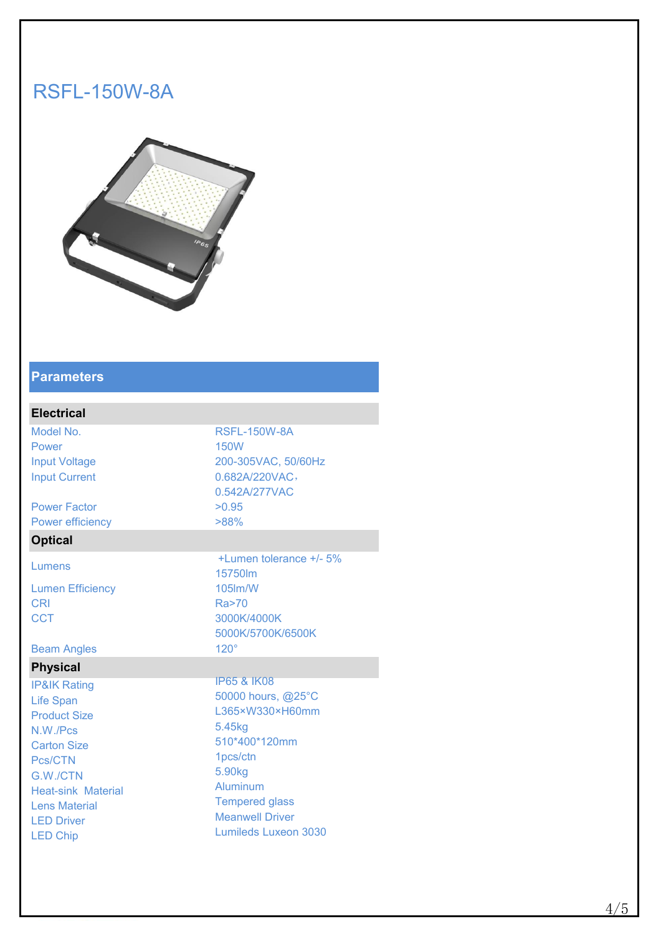# RSFL-150W-8A



### **Parameters**

### **Electrical**

Model No. 2008 2012 12:00 RSFL-150W-8A Power **150W Power 150W** Input Voltage 200-305VAC, 50/60Hz Input Current 0.682A/220VAC,

Power Factor  $>0.95$ Power efficiency  $>88\%$ 

### **Optical**

Lumen Efficiency 105lm/W

Beam Angles 120°

### **Physical**

IP&IK Rating Life Span Product Size N.W./Pcs Carton Size Pcs/CTN G.W./CTN Heat-sink Material Lens Material LED Driver LED Chip

Lumens +/- 5% 15750lm CRI Ra>70 CCT 3000K/4000K 5000K/5700K/6500K IP65 & IK08

0.542A/277VAC

50000 hours, @25°C L365×W330×H60mm 5.45kg 510\*400\*120mm 1pcs/ctn 5.90kg Aluminum Tempered glass Meanwell Driver Lumileds Luxeon 3030